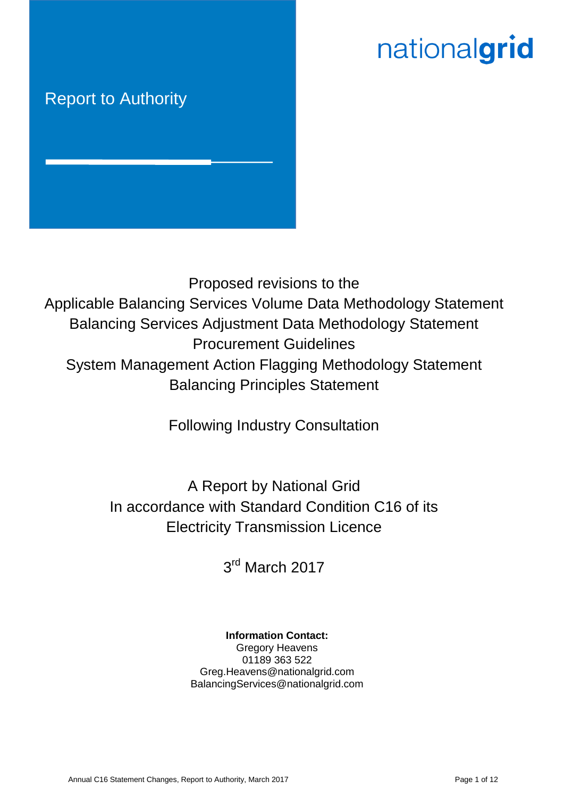# nationalgrid

# Report to Authority



Proposed revisions to the Applicable Balancing Services Volume Data Methodology Statement Balancing Services Adjustment Data Methodology Statement Procurement Guidelines System Management Action Flagging Methodology Statement Balancing Principles Statement

Following Industry Consultation

A Report by National Grid In accordance with Standard Condition C16 of its Electricity Transmission Licence

3<sup>rd</sup> March 2017

# **Information Contact:**

Gregory Heavens 01189 363 522 Greg.Heavens@nationalgrid.com BalancingServices@nationalgrid.com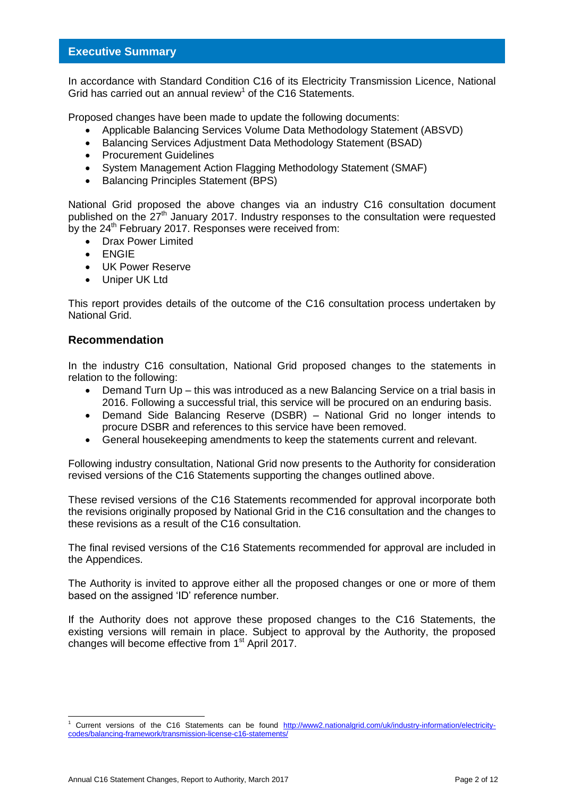#### **Executive Summary**

In accordance with Standard Condition C16 of its Electricity Transmission Licence, National Grid has carried out an annual review<sup>1</sup> of the C16 Statements.

Proposed changes have been made to update the following documents:

- Applicable Balancing Services Volume Data Methodology Statement (ABSVD)
- Balancing Services Adjustment Data Methodology Statement (BSAD)
- Procurement Guidelines
- System Management Action Flagging Methodology Statement (SMAF)
- Balancing Principles Statement (BPS)

National Grid proposed the above changes via an industry C16 consultation document published on the 27<sup>th</sup> January 2017. Industry responses to the consultation were requested by the 24<sup>th</sup> February 2017. Responses were received from:

- Drax Power Limited
- ENGIE
- UK Power Reserve
- Uniper UK Ltd

This report provides details of the outcome of the C16 consultation process undertaken by National Grid.

#### **Recommendation**

-

In the industry C16 consultation, National Grid proposed changes to the statements in relation to the following:

- Demand Turn Up this was introduced as a new Balancing Service on a trial basis in 2016. Following a successful trial, this service will be procured on an enduring basis.
- Demand Side Balancing Reserve (DSBR) National Grid no longer intends to procure DSBR and references to this service have been removed.
- General housekeeping amendments to keep the statements current and relevant.

Following industry consultation, National Grid now presents to the Authority for consideration revised versions of the C16 Statements supporting the changes outlined above.

These revised versions of the C16 Statements recommended for approval incorporate both the revisions originally proposed by National Grid in the C16 consultation and the changes to these revisions as a result of the C16 consultation.

The final revised versions of the C16 Statements recommended for approval are included in the Appendices.

The Authority is invited to approve either all the proposed changes or one or more of them based on the assigned 'ID' reference number.

If the Authority does not approve these proposed changes to the C16 Statements, the existing versions will remain in place. Subject to approval by the Authority, the proposed changes will become effective from 1<sup>st</sup> April 2017.

Current versions of the C16 Statements can be found [http://www2.nationalgrid.com/uk/industry-information/electricity](http://www2.nationalgrid.com/uk/industry-information/electricity-codes/balancing-framework/transmission-license-c16-statements/)[codes/balancing-framework/transmission-license-c16-statements/](http://www2.nationalgrid.com/uk/industry-information/electricity-codes/balancing-framework/transmission-license-c16-statements/)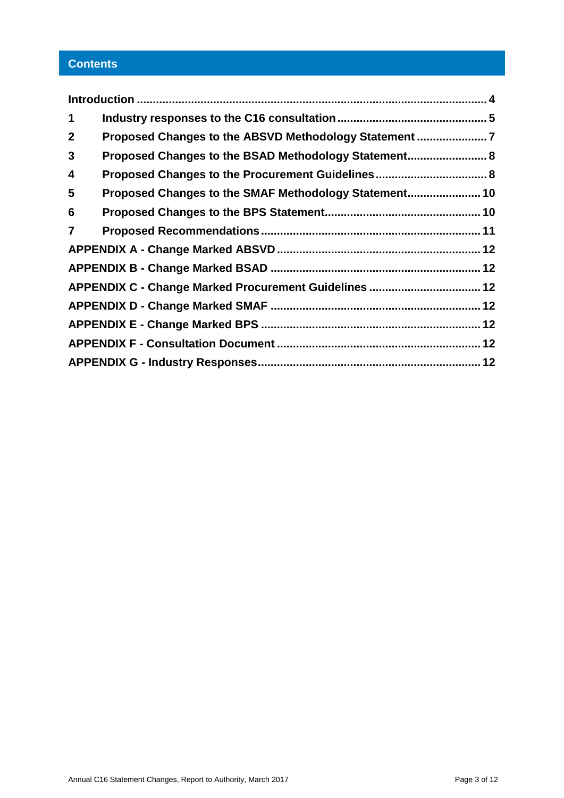# **Contents**

| $\mathbf 1$    |                                                       |  |
|----------------|-------------------------------------------------------|--|
| $\mathbf{2}$   | Proposed Changes to the ABSVD Methodology Statement 7 |  |
| 3              | Proposed Changes to the BSAD Methodology Statement 8  |  |
| 4              | Proposed Changes to the Procurement Guidelines 8      |  |
| 5              | Proposed Changes to the SMAF Methodology Statement 10 |  |
| 6              |                                                       |  |
| $\overline{7}$ |                                                       |  |
|                |                                                       |  |
|                |                                                       |  |
|                |                                                       |  |
|                |                                                       |  |
|                |                                                       |  |
|                |                                                       |  |
|                |                                                       |  |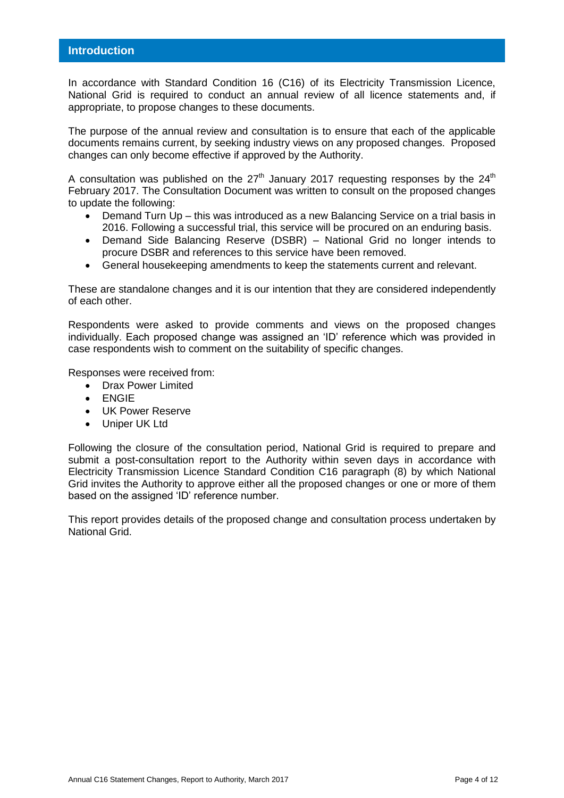<span id="page-3-0"></span>In accordance with Standard Condition 16 (C16) of its Electricity Transmission Licence, National Grid is required to conduct an annual review of all licence statements and, if appropriate, to propose changes to these documents.

The purpose of the annual review and consultation is to ensure that each of the applicable documents remains current, by seeking industry views on any proposed changes. Proposed changes can only become effective if approved by the Authority.

A consultation was published on the 27<sup>th</sup> January 2017 requesting responses by the 24<sup>th</sup> February 2017. The Consultation Document was written to consult on the proposed changes to update the following:

- Demand Turn Up this was introduced as a new Balancing Service on a trial basis in 2016. Following a successful trial, this service will be procured on an enduring basis.
- Demand Side Balancing Reserve (DSBR) National Grid no longer intends to procure DSBR and references to this service have been removed.
- General housekeeping amendments to keep the statements current and relevant.

These are standalone changes and it is our intention that they are considered independently of each other.

Respondents were asked to provide comments and views on the proposed changes individually. Each proposed change was assigned an 'ID' reference which was provided in case respondents wish to comment on the suitability of specific changes.

Responses were received from:

- Drax Power Limited
- ENGIE
- UK Power Reserve
- Uniper UK Ltd

Following the closure of the consultation period, National Grid is required to prepare and submit a post-consultation report to the Authority within seven days in accordance with Electricity Transmission Licence Standard Condition C16 paragraph (8) by which National Grid invites the Authority to approve either all the proposed changes or one or more of them based on the assigned 'ID' reference number.

This report provides details of the proposed change and consultation process undertaken by National Grid.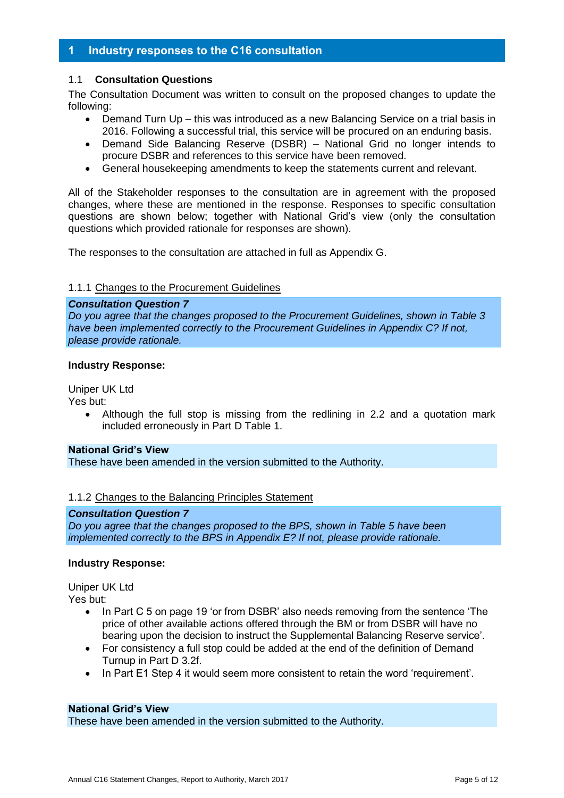#### <span id="page-4-0"></span>**1 Industry responses to the C16 consultation**

#### 1.1 **Consultation Questions**

The Consultation Document was written to consult on the proposed changes to update the following:

- Demand Turn Up this was introduced as a new Balancing Service on a trial basis in 2016. Following a successful trial, this service will be procured on an enduring basis.
- Demand Side Balancing Reserve (DSBR) National Grid no longer intends to procure DSBR and references to this service have been removed.
- General housekeeping amendments to keep the statements current and relevant.

All of the Stakeholder responses to the consultation are in agreement with the proposed changes, where these are mentioned in the response. Responses to specific consultation questions are shown below; together with National Grid's view (only the consultation questions which provided rationale for responses are shown).

The responses to the consultation are attached in full as Appendix G.

#### 1.1.1 Changes to the Procurement Guidelines

#### *Consultation Question 7*

*Do you agree that the changes proposed to the Procurement Guidelines, shown in Table 3 have been implemented correctly to the Procurement Guidelines in Appendix C? If not, please provide rationale.*

#### **Industry Response:**

Uniper UK Ltd

Yes but:

 Although the full stop is missing from the redlining in 2.2 and a quotation mark included erroneously in Part D Table 1.

#### **National Grid's View**

These have been amended in the version submitted to the Authority.

#### 1.1.2 Changes to the Balancing Principles Statement

#### *Consultation Question 7*

*Do you agree that the changes proposed to the BPS, shown in Table 5 have been implemented correctly to the BPS in Appendix E? If not, please provide rationale.*

#### **Industry Response:**

Uniper UK Ltd Yes but:

- In Part C 5 on page 19 'or from DSBR' also needs removing from the sentence 'The price of other available actions offered through the BM or from DSBR will have no bearing upon the decision to instruct the Supplemental Balancing Reserve service'.
- For consistency a full stop could be added at the end of the definition of Demand Turnup in Part D 3.2f.
- In Part E1 Step 4 it would seem more consistent to retain the word 'requirement'.

#### **National Grid's View**

These have been amended in the version submitted to the Authority.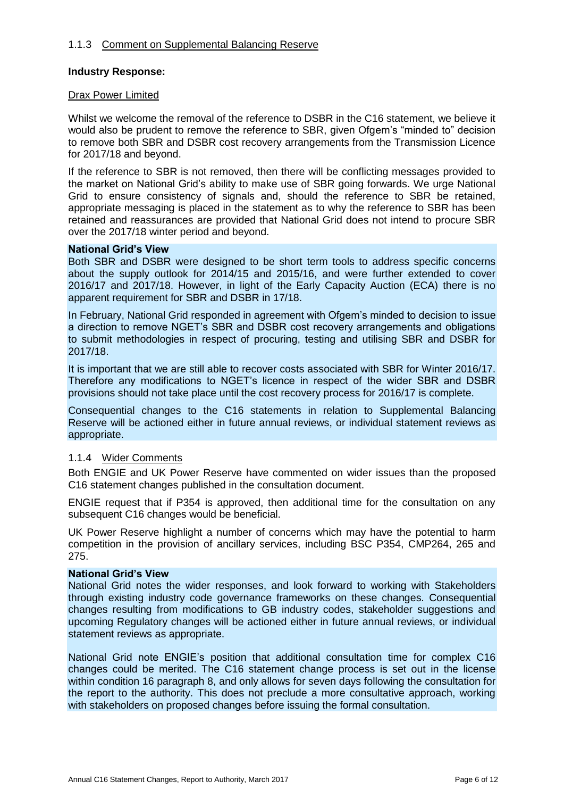#### 1.1.3 Comment on Supplemental Balancing Reserve

#### **Industry Response:**

#### Drax Power Limited

Whilst we welcome the removal of the reference to DSBR in the C16 statement, we believe it would also be prudent to remove the reference to SBR, given Ofgem's "minded to" decision to remove both SBR and DSBR cost recovery arrangements from the Transmission Licence for 2017/18 and beyond.

If the reference to SBR is not removed, then there will be conflicting messages provided to the market on National Grid's ability to make use of SBR going forwards. We urge National Grid to ensure consistency of signals and, should the reference to SBR be retained, appropriate messaging is placed in the statement as to why the reference to SBR has been retained and reassurances are provided that National Grid does not intend to procure SBR over the 2017/18 winter period and beyond.

#### **National Grid's View**

Both SBR and DSBR were designed to be short term tools to address specific concerns about the supply outlook for 2014/15 and 2015/16, and were further extended to cover 2016/17 and 2017/18. However, in light of the Early Capacity Auction (ECA) there is no apparent requirement for SBR and DSBR in 17/18.

In February, National Grid responded in agreement with Ofgem's minded to decision to issue a direction to remove NGET's SBR and DSBR cost recovery arrangements and obligations to submit methodologies in respect of procuring, testing and utilising SBR and DSBR for 2017/18.

It is important that we are still able to recover costs associated with SBR for Winter 2016/17. Therefore any modifications to NGET's licence in respect of the wider SBR and DSBR provisions should not take place until the cost recovery process for 2016/17 is complete.

Consequential changes to the C16 statements in relation to Supplemental Balancing Reserve will be actioned either in future annual reviews, or individual statement reviews as appropriate.

#### 1.1.4 Wider Comments

Both ENGIE and UK Power Reserve have commented on wider issues than the proposed C16 statement changes published in the consultation document.

ENGIE request that if P354 is approved, then additional time for the consultation on any subsequent C16 changes would be beneficial.

UK Power Reserve highlight a number of concerns which may have the potential to harm competition in the provision of ancillary services, including BSC P354, CMP264, 265 and 275.

#### **National Grid's View**

National Grid notes the wider responses, and look forward to working with Stakeholders through existing industry code governance frameworks on these changes. Consequential changes resulting from modifications to GB industry codes, stakeholder suggestions and upcoming Regulatory changes will be actioned either in future annual reviews, or individual statement reviews as appropriate.

National Grid note ENGIE's position that additional consultation time for complex C16 changes could be merited. The C16 statement change process is set out in the license within condition 16 paragraph 8, and only allows for seven days following the consultation for the report to the authority. This does not preclude a more consultative approach, working with stakeholders on proposed changes before issuing the formal consultation.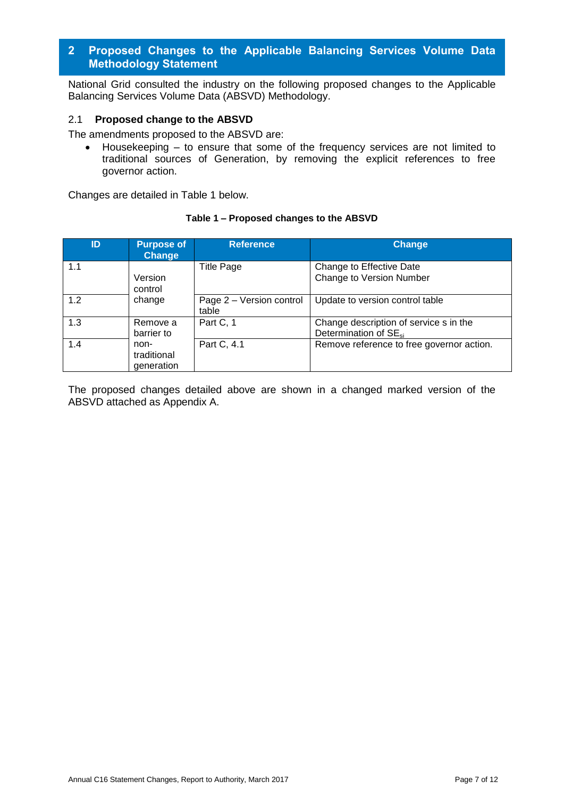#### <span id="page-6-0"></span>**2 Proposed Changes to the Applicable Balancing Services Volume Data Methodology Statement**

National Grid consulted the industry on the following proposed changes to the Applicable Balancing Services Volume Data (ABSVD) Methodology.

#### 2.1 **Proposed change to the ABSVD**

The amendments proposed to the ABSVD are:

 Housekeeping – to ensure that some of the frequency services are not limited to traditional sources of Generation, by removing the explicit references to free governor action.

Changes are detailed in Table 1 below.

#### **Table 1 – Proposed changes to the ABSVD**

| ID  | <b>Purpose of</b><br><b>Change</b> | <b>Reference</b>                  | <b>Change</b>                                                               |
|-----|------------------------------------|-----------------------------------|-----------------------------------------------------------------------------|
| 1.1 | Version<br>control                 | <b>Title Page</b>                 | Change to Effective Date<br>Change to Version Number                        |
| 1.2 | change                             | Page 2 - Version control<br>table | Update to version control table                                             |
| 1.3 | Remove a<br>barrier to             | Part C, 1                         | Change description of service s in the<br>Determination of SE <sub>si</sub> |
| 1.4 | non-<br>traditional<br>generation  | Part C, 4.1                       | Remove reference to free governor action.                                   |

The proposed changes detailed above are shown in a changed marked version of the ABSVD attached as Appendix A.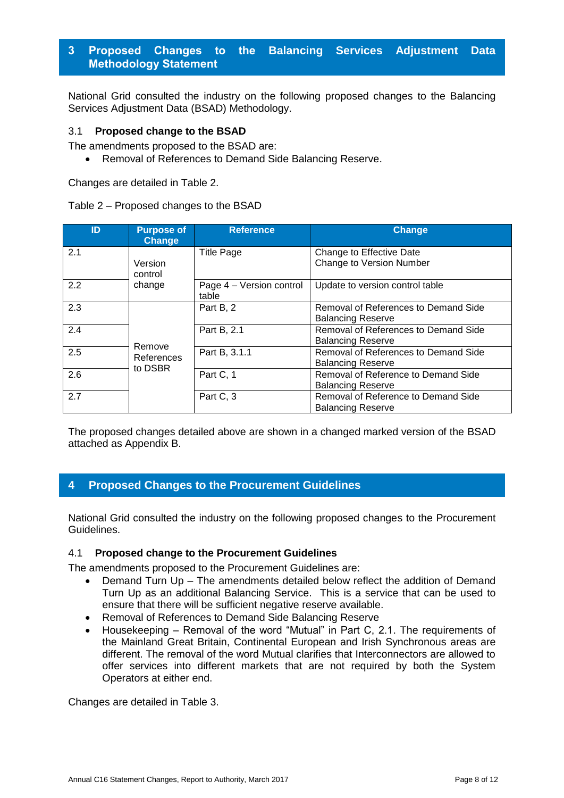# <span id="page-7-0"></span>**3 Proposed Changes to the Balancing Services Adjustment Data Methodology Statement**

National Grid consulted the industry on the following proposed changes to the Balancing Services Adjustment Data (BSAD) Methodology.

#### 3.1 **Proposed change to the BSAD**

The amendments proposed to the BSAD are:

Removal of References to Demand Side Balancing Reserve.

Changes are detailed in Table 2.

#### Table 2 – Proposed changes to the BSAD

| ID  | <b>Purpose of</b><br>Change     | <b>Reference</b>                  | <b>Change</b>                                                    |
|-----|---------------------------------|-----------------------------------|------------------------------------------------------------------|
| 2.1 | Version<br>control              | <b>Title Page</b>                 | Change to Effective Date<br>Change to Version Number             |
| 2.2 | change                          | Page 4 - Version control<br>table | Update to version control table                                  |
| 2.3 |                                 | Part B, 2                         | Removal of References to Demand Side<br><b>Balancing Reserve</b> |
| 2.4 | Remove<br>References<br>to DSBR | Part B, 2.1                       | Removal of References to Demand Side<br><b>Balancing Reserve</b> |
| 2.5 |                                 | Part B, 3.1.1                     | Removal of References to Demand Side<br><b>Balancing Reserve</b> |
| 2.6 |                                 | Part C, 1                         | Removal of Reference to Demand Side<br><b>Balancing Reserve</b>  |
| 2.7 |                                 | Part C, 3                         | Removal of Reference to Demand Side<br><b>Balancing Reserve</b>  |

The proposed changes detailed above are shown in a changed marked version of the BSAD attached as Appendix B.

## <span id="page-7-1"></span>**4 Proposed Changes to the Procurement Guidelines**

National Grid consulted the industry on the following proposed changes to the Procurement Guidelines.

#### 4.1 **Proposed change to the Procurement Guidelines**

The amendments proposed to the Procurement Guidelines are:

- Demand Turn Up The amendments detailed below reflect the addition of Demand Turn Up as an additional Balancing Service. This is a service that can be used to ensure that there will be sufficient negative reserve available.
- Removal of References to Demand Side Balancing Reserve
- Housekeeping Removal of the word "Mutual" in Part C, 2.1. The requirements of the Mainland Great Britain, Continental European and Irish Synchronous areas are different. The removal of the word Mutual clarifies that Interconnectors are allowed to offer services into different markets that are not required by both the System Operators at either end.

Changes are detailed in Table 3.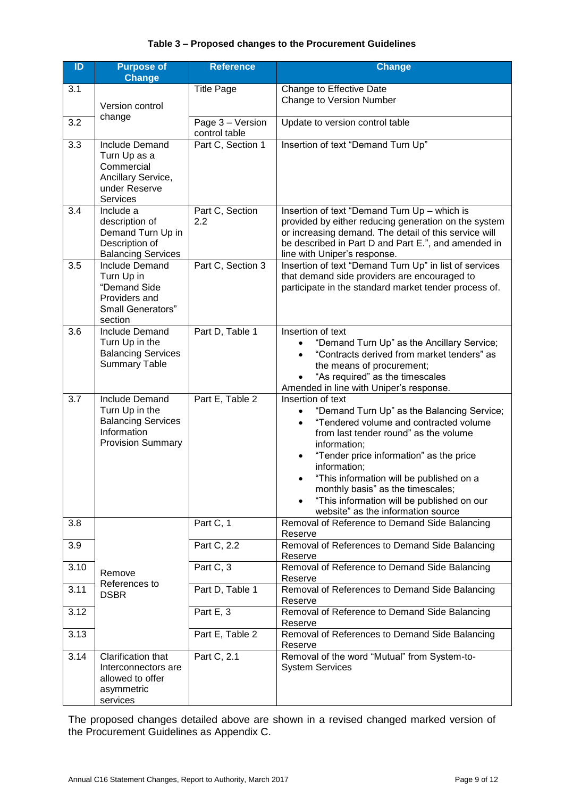#### **Table 3 – Proposed changes to the Procurement Guidelines**

| ID   | <b>Purpose of</b><br><b>Change</b>                                                                       | <b>Reference</b>                     | <b>Change</b>                                                                                                                                                                                                                                                                                                                                                                                                                |
|------|----------------------------------------------------------------------------------------------------------|--------------------------------------|------------------------------------------------------------------------------------------------------------------------------------------------------------------------------------------------------------------------------------------------------------------------------------------------------------------------------------------------------------------------------------------------------------------------------|
| 3.1  | Version control                                                                                          | <b>Title Page</b>                    | Change to Effective Date<br>Change to Version Number                                                                                                                                                                                                                                                                                                                                                                         |
| 3.2  | change                                                                                                   | Page $3 - V$ ersion<br>control table | Update to version control table                                                                                                                                                                                                                                                                                                                                                                                              |
| 3.3  | Include Demand<br>Turn Up as a<br>Commercial<br>Ancillary Service,<br>under Reserve<br><b>Services</b>   | Part C, Section 1                    | Insertion of text "Demand Turn Up"                                                                                                                                                                                                                                                                                                                                                                                           |
| 3.4  | Include a<br>description of<br>Demand Turn Up in<br>Description of<br><b>Balancing Services</b>          | Part C, Section<br>2.2               | Insertion of text "Demand Turn Up - which is<br>provided by either reducing generation on the system<br>or increasing demand. The detail of this service will<br>be described in Part D and Part E.", and amended in<br>line with Uniper's response.                                                                                                                                                                         |
| 3.5  | <b>Include Demand</b><br>Turn Up in<br>"Demand Side<br>Providers and<br>Small Generators"<br>section     | Part C, Section 3                    | Insertion of text "Demand Turn Up" in list of services<br>that demand side providers are encouraged to<br>participate in the standard market tender process of.                                                                                                                                                                                                                                                              |
| 3.6  | <b>Include Demand</b><br>Turn Up in the<br><b>Balancing Services</b><br><b>Summary Table</b>             | Part D, Table 1                      | Insertion of text<br>"Demand Turn Up" as the Ancillary Service;<br>"Contracts derived from market tenders" as<br>$\bullet$<br>the means of procurement;<br>"As required" as the timescales<br>Amended in line with Uniper's response.                                                                                                                                                                                        |
| 3.7  | Include Demand<br>Turn Up in the<br><b>Balancing Services</b><br>Information<br><b>Provision Summary</b> | Part E, Table 2                      | Insertion of text<br>"Demand Turn Up" as the Balancing Service;<br>$\bullet$<br>"Tendered volume and contracted volume<br>$\bullet$<br>from last tender round" as the volume<br>information;<br>"Tender price information" as the price<br>information;<br>"This information will be published on a<br>monthly basis" as the timescales;<br>"This information will be published on our<br>website" as the information source |
| 3.8  |                                                                                                          | Part C, 1                            | Removal of Reference to Demand Side Balancing<br>Reserve                                                                                                                                                                                                                                                                                                                                                                     |
| 3.9  |                                                                                                          | Part C, 2.2                          | Removal of References to Demand Side Balancing<br>Reserve                                                                                                                                                                                                                                                                                                                                                                    |
| 3.10 | Remove                                                                                                   | Part C, 3                            | Removal of Reference to Demand Side Balancing<br>Reserve                                                                                                                                                                                                                                                                                                                                                                     |
| 3.11 | References to<br><b>DSBR</b>                                                                             | Part D, Table 1                      | Removal of References to Demand Side Balancing<br>Reserve                                                                                                                                                                                                                                                                                                                                                                    |
| 3.12 |                                                                                                          | Part E, 3                            | Removal of Reference to Demand Side Balancing<br>Reserve                                                                                                                                                                                                                                                                                                                                                                     |
| 3.13 |                                                                                                          | Part E, Table 2                      | Removal of References to Demand Side Balancing<br>Reserve                                                                                                                                                                                                                                                                                                                                                                    |
| 3.14 | Clarification that<br>Interconnectors are<br>allowed to offer<br>asymmetric<br>services                  | Part C, 2.1                          | Removal of the word "Mutual" from System-to-<br><b>System Services</b>                                                                                                                                                                                                                                                                                                                                                       |

The proposed changes detailed above are shown in a revised changed marked version of the Procurement Guidelines as Appendix C.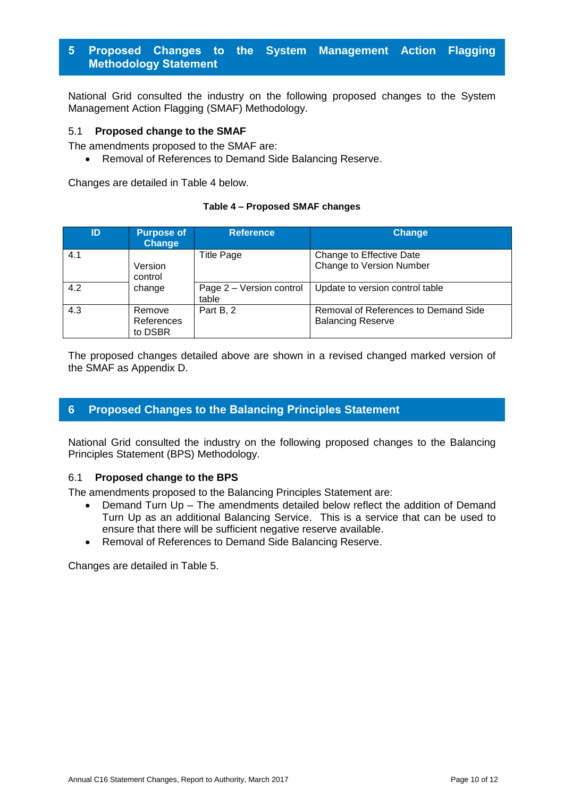# <span id="page-9-0"></span>**5 Proposed Changes to the System Management Action Flagging Methodology Statement**

National Grid consulted the industry on the following proposed changes to the System Management Action Flagging (SMAF) Methodology.

#### 5.1 **Proposed change to the SMAF**

The amendments proposed to the SMAF are:

Removal of References to Demand Side Balancing Reserve.

Changes are detailed in Table 4 below.

#### **Table 4 – Proposed SMAF changes**

| ID  | <b>Purpose of</b><br><b>Change</b> | <b>Reference</b>                  | <b>Change</b>                                                    |
|-----|------------------------------------|-----------------------------------|------------------------------------------------------------------|
| 4.1 | Version<br>control                 | <b>Title Page</b>                 | Change to Effective Date<br>Change to Version Number             |
| 4.2 | change                             | Page 2 - Version control<br>table | Update to version control table                                  |
| 4.3 | Remove<br>References<br>to DSBR    | Part B, 2                         | Removal of References to Demand Side<br><b>Balancing Reserve</b> |

The proposed changes detailed above are shown in a revised changed marked version of the SMAF as Appendix D.

## <span id="page-9-1"></span>**6 Proposed Changes to the Balancing Principles Statement**

National Grid consulted the industry on the following proposed changes to the Balancing Principles Statement (BPS) Methodology.

#### 6.1 **Proposed change to the BPS**

The amendments proposed to the Balancing Principles Statement are:

- Demand Turn Up The amendments detailed below reflect the addition of Demand Turn Up as an additional Balancing Service. This is a service that can be used to ensure that there will be sufficient negative reserve available.
- Removal of References to Demand Side Balancing Reserve.

Changes are detailed in Table 5.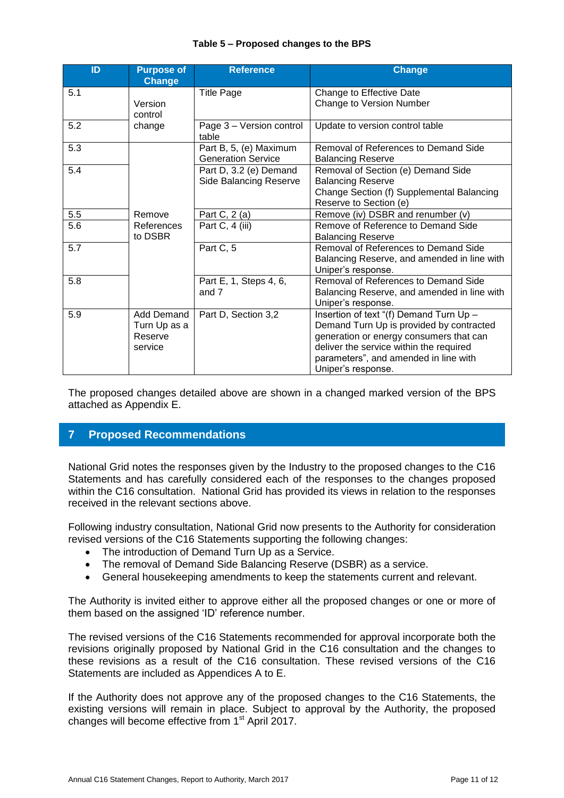| ID               | <b>Purpose of</b><br><b>Change</b>               | <b>Reference</b>                                        | <b>Change</b>                                                                                                                                                                                                                            |
|------------------|--------------------------------------------------|---------------------------------------------------------|------------------------------------------------------------------------------------------------------------------------------------------------------------------------------------------------------------------------------------------|
| 5.1              | Version<br>control                               | <b>Title Page</b>                                       | Change to Effective Date<br>Change to Version Number                                                                                                                                                                                     |
| 5.2              | change                                           | Page 3 - Version control<br>table                       | Update to version control table                                                                                                                                                                                                          |
| 5.3              |                                                  | Part B, 5, (e) Maximum<br><b>Generation Service</b>     | Removal of References to Demand Side<br><b>Balancing Reserve</b>                                                                                                                                                                         |
| 5.4              |                                                  | Part D, 3.2 (e) Demand<br><b>Side Balancing Reserve</b> | Removal of Section (e) Demand Side<br><b>Balancing Reserve</b><br>Change Section (f) Supplemental Balancing<br>Reserve to Section (e)                                                                                                    |
| 5.5              | Remove                                           | Part C, 2 (a)                                           | Remove (iv) DSBR and renumber (v)                                                                                                                                                                                                        |
| 5.6              | References<br>to DSBR                            | Part C, 4 (iii)                                         | Remove of Reference to Demand Side<br><b>Balancing Reserve</b>                                                                                                                                                                           |
| $\overline{5.7}$ |                                                  | Part C, 5                                               | Removal of References to Demand Side<br>Balancing Reserve, and amended in line with<br>Uniper's response.                                                                                                                                |
| 5.8              |                                                  | Part E, 1, Steps 4, 6,<br>and 7                         | Removal of References to Demand Side<br>Balancing Reserve, and amended in line with<br>Uniper's response.                                                                                                                                |
| 5.9              | Add Demand<br>Turn Up as a<br>Reserve<br>service | Part D, Section 3,2                                     | Insertion of text "(f) Demand Turn Up -<br>Demand Turn Up is provided by contracted<br>generation or energy consumers that can<br>deliver the service within the required<br>parameters", and amended in line with<br>Uniper's response. |

#### **Table 5 – Proposed changes to the BPS**

The proposed changes detailed above are shown in a changed marked version of the BPS attached as Appendix E.

# <span id="page-10-0"></span>**7 Proposed Recommendations**

National Grid notes the responses given by the Industry to the proposed changes to the C16 Statements and has carefully considered each of the responses to the changes proposed within the C16 consultation. National Grid has provided its views in relation to the responses received in the relevant sections above.

Following industry consultation, National Grid now presents to the Authority for consideration revised versions of the C16 Statements supporting the following changes:

- The introduction of Demand Turn Up as a Service.
- The removal of Demand Side Balancing Reserve (DSBR) as a service.
- General housekeeping amendments to keep the statements current and relevant.

The Authority is invited either to approve either all the proposed changes or one or more of them based on the assigned 'ID' reference number.

The revised versions of the C16 Statements recommended for approval incorporate both the revisions originally proposed by National Grid in the C16 consultation and the changes to these revisions as a result of the C16 consultation. These revised versions of the C16 Statements are included as Appendices A to E.

If the Authority does not approve any of the proposed changes to the C16 Statements, the existing versions will remain in place. Subject to approval by the Authority, the proposed changes will become effective from 1<sup>st</sup> April 2017.